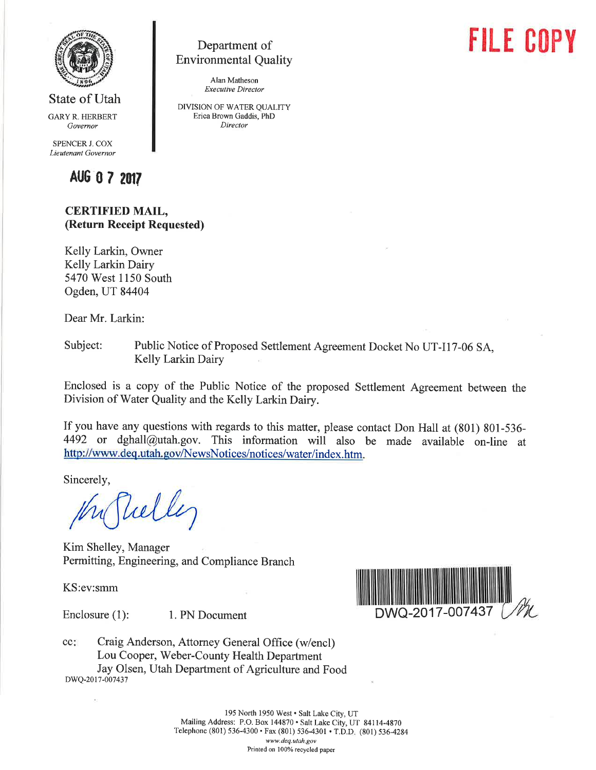

State of Utah

GARY R. HERBERT Govemor

SPENCER J. COX Lieutenant Governor



# CERTIFIED MAIL, (Return Receipt Requested)

Kelly Larkin, Owner Kelly Larkin Dairy 5470 West 1150 South Ogden, UT 84404

Dear Mr. Larkin:

Subject: Public Notice of Proposed Settlement Agreement Docket No UT-I17-06 SA, Kelly Larkin Dairy

Department of Environmental Quality Alan Matheson Executive Director DIVISION OF WATER QUALITY Erica Brown Gaddis, PhD Director

Enclosed is a copy of the Public Notice of the proposed Settlement Agreement between the Division of Water Quality and the Kelly Larkin Dairy.

If you have any questions with regards to this matter, please contact Don Hall at (S01) 801-536- 4492 or dghall@utah.gov. This information will also be made available on-line at http://www.deq.utah.gov/NewsNotices/notices/water/index.htm.

Sincerely,

Vulley

Kim Shelley, Manager Permitting, Engineering, and Compliance Branch

KS:ev:smm



Craig Anderson, Attorney General Office (w/encl) Lou Cooper, Weber-County Health Department Jay Olsen, Utah Department of Agriculture and Food cc: DWQ-2017-007437

> 195 North 1950 West · Salt Lake City, UT Mailing Address: P.O. Box 144870 . Salt Lake City, UT 84114-4870 Telephone (801) 536-4300 · Fax (801) 536-4301 · T.D.D. (801) 536-4284 www.deq.utah.gov Printed on 100% recycled paper

# **FILE COPY**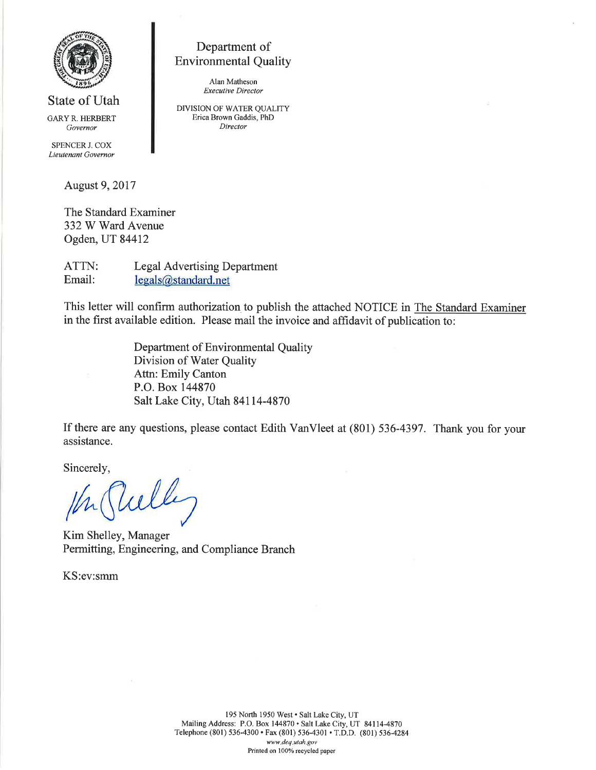

State of Utah GARYR. HERBERT Governor

SPENCER J. COX Lieutenant Governor

August 9,2017

The Standard Examiner 332 W Ward Avenue Ogden, UT 84412

ATTN: Email: Legal Advertising Department legals@standard.net

This letter will confirm authorization to publish the attached NOTICE in The Standard Examiner in the first available edition. Please mail the invoice and affidavit of publication to:

> Department of Environmental Quality Division of Water Quality Attn: Emily Canton P.O. Box 144870 Salt Lake City, Utah 84114-4870

Department of Environmental Quality

Alan Matheson Executive Director DIVISION OF WATER QUALITY Erica Brown Gaddis, PhD Director

If there are any questions, please contact Edith VanVleet at (801) 536-4397. Thank you for your assistance.

Sincerely,

tú^w

Kim Shelley, Manager Permitting, Engineering, and Compliance Branch

KS:ev:smm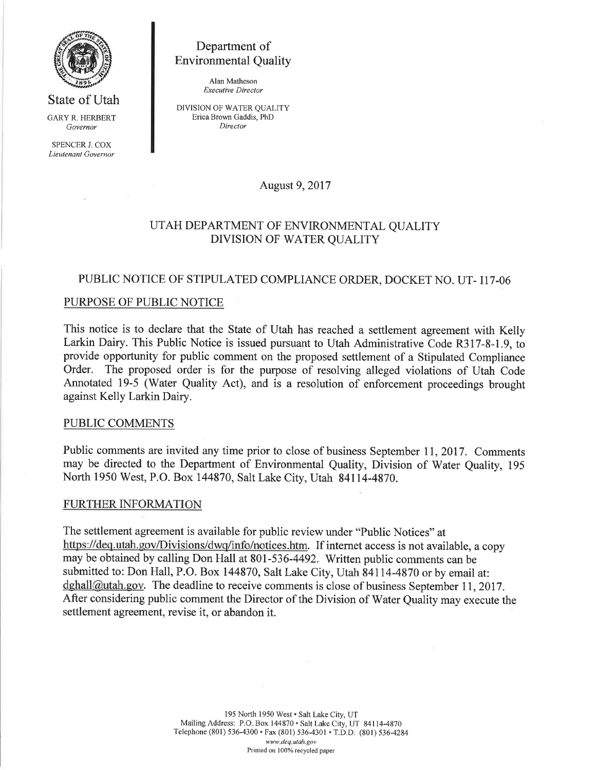

State of Utah GARY R, HERBERT Governor

SPENCER J. COX Lieutenant Governor

Department of Environmental Quality

> Alan Matheson Execwtive Director

DIVISION OF WATER QUALITY Erica Brown Gaddis, PhD Director

August 9,2017

# UTAH DEPARTMENT OF ENVIRONMENTAL QUALITY DIVISION OF WATER QUALITY

# PUBLIC NOTICE OF STIPULATED COMPLIANCE ORDER, DOCKET NO. UT- 117-06

## PURPOSE OF PUBLIC NOTICE

This notice is to declare that the State of Utah has reached a settlement agreement with Kelly Larkin Dairy. This Public Notice is issued pursuant to Utah Administrative Code R317-8-1.9, to provide opportunity for public comment on the proposed settlement of a Stipulated Compliance Order. The proposed order is for the purpose of resolving alleged violations of Utah Code Annotated 19-5 (Water Quality Act), and is a resolution of enforcement proceedings brought against Kelly Larkin Dairy.

#### PUBLIC COMMENTS

Public comments are invited any time prior to close of business September 11, 2017. Comments may be directed to the Department of Environmental Quality, Division of Water Quality, 195 North 1950 West, P.O. Box 144870, Salt Lake City, Utah 84114-4870.

## **FURTHER INFORMATION**

The settlement agreement is available for public review under "Public Notices" at https://deq.utah.gov/Divisions/dwq/info/notices.htm. If internet access is not available, a copy may be obtained by calling Don Hall at 801-536-4492. Written public comments can be submitted to: Don Hall, P.O. Box 144870, Salt Lake City, Utah 84114-4870 or by email at: dghall@utah.gov. The deadline to receive comments is close of business September 11, 2017. After considering public comment the Director of the Division of Water Quality may execute the settlement agreement, revise it, or abandon it.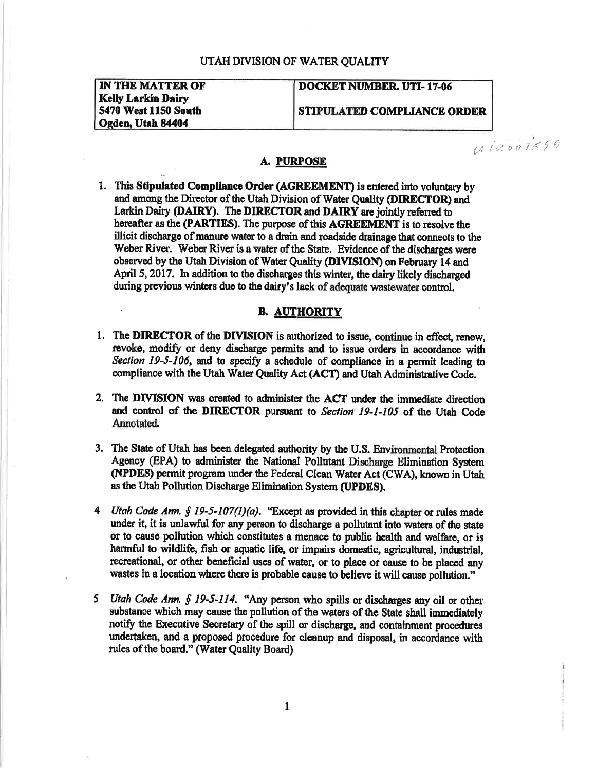#### UTAH DIVISION OF WATER OUALITY

**IN THE MATTER OF Kelly Larkin Dairy** 5470 West 1150 South Ogden, Utah 84404

## **DOCKET NUMBER, UTI-17-06**

STIPULATED COMPLIANCE ORDER

 $uiaois59$ 

## **A. PURPOSE**

1. This Stipulated Compliance Order (AGREEMENT) is entered into voluntary by and among the Director of the Utah Division of Water Quality (DIRECTOR) and Larkin Dairy (DAIRY). The DIRECTOR and DAIRY are jointly referred to hereafter as the (PARTIES). The purpose of this AGREEMENT is to resolve the illicit discharge of manure water to a drain and roadside drainage that connects to the Weber River. Weber River is a water of the State. Evidence of the discharges were observed by the Utah Division of Water Quality (DIVISION) on February 14 and April 5, 2017. In addition to the discharges this winter, the dairy likely discharged during previous winters due to the dairy's lack of adequate wastewater control.

#### **B. AUTHORITY**

- 1. The DIRECTOR of the DIVISION is authorized to issue, continue in effect, renew, revoke, modify or deny discharge permits and to issue orders in accordance with Section 19-5-106, and to specify a schedule of compliance in a permit leading to compliance with the Utah Water Quality Act (ACT) and Utah Administrative Code.
- 2. The DIVISION was created to administer the ACT under the immediate direction and control of the DIRECTOR pursuant to Section 19-1-105 of the Utah Code Annotated.
- 3. The State of Utah has been delegated authority by the U.S. Environmental Protection Agency (EPA) to administer the National Pollutant Discharge Elimination System (NPDES) permit program under the Federal Clean Water Act (CWA), known in Utah as the Utah Pollution Discharge Elimination System (UPDES).
- 4 Utah Code Ann. § 19-5-107(1)(a). "Except as provided in this chapter or rules made under it, it is unlawful for any person to discharge a pollutant into waters of the state or to cause pollution which constitutes a menace to public health and welfare, or is harmful to wildlife, fish or aquatic life, or impairs domestic, agricultural, industrial, recreational, or other beneficial uses of water, or to place or cause to be placed any wastes in a location where there is probable cause to believe it will cause pollution."
- 5 Utah Code Ann. § 19-5-114. "Any person who spills or discharges any oil or other substance which may cause the pollution of the waters of the State shall immediately notify the Executive Secretary of the spill or discharge, and containment procedures undertaken, and a proposed procedure for cleanup and disposal, in accordance with rules of the board." (Water Quality Board)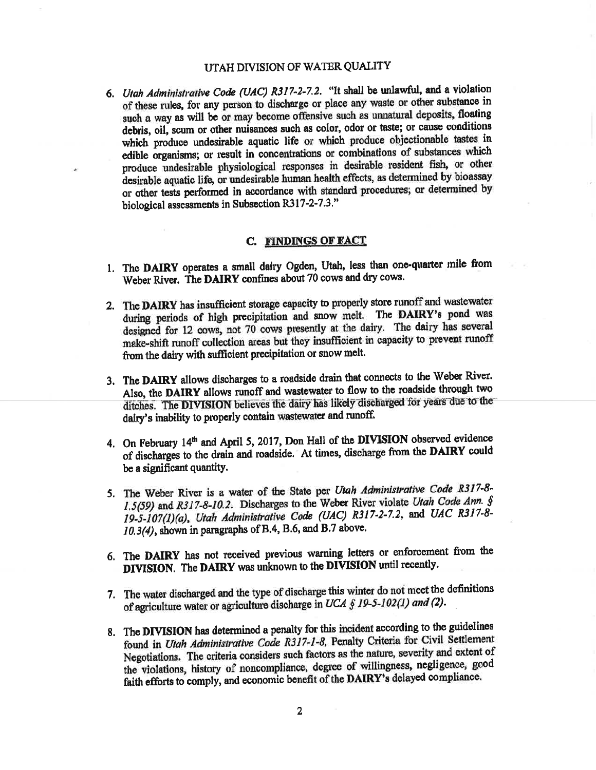### UTAH DIVISION OF WATER QUALITY

6. Utah Administrative Code (UAC) R317-2-7.2. "It shall be unlawful, and a violation of these rules, for any person to discharge or place any waste or other substance in such a way as will be or may become offensive such as unnatural deposits, floating debris, oil, scum or other nuisances such as color, odor or taste; or cause conditions which produce undesirable aquatic life or which produce objectionable tastes in edible organisms; or result in concentrations or combinations of substances which produce undesirable physiological responses in desirable resident fish, or other desirable aquatic life, or undesirable human health effects, as determined by bioassay or other tests performed in accordance with standard procedures; or determined by biological assessments in Subsection R317-2-7.3."

#### C. FINDINGS OF FACT

- 1. The DAIRY operates a small dairy Ogden, Utah, less than one-quarter mile from Weber River. The DAIRY confines about 70 cows and dry cows.
- 2. The DAIRY has insufficient storage capacity to properly store runoff and wastewater during periods of high precipitation and snow melt. The DAIRY's pond was designed for 12 cows, not 70 cows presently at the dairy. The dairy has several make-shift runoff collection areas but they insufficient in capacity to prevent runoff from the dairy with sufficient precipitation or snow melt.
- 3. The DAIRY allows discharges to a roadside drain that connects to the Weber River. Also, the DAIRY allows runoff and wastewater to flow to the roadside through two ditches. The DIVISION believes the dairy has likely discharged for years due to the dairy's inability to properly contain wastewater and runoff.
- 4. On February 14<sup>th</sup> and April 5, 2017, Don Hall of the DIVISION observed evidence of discharges to the drain and roadside. At times, discharge from the DAIRY could be a significant quantity.
- 5. The Weber River is a water of the State per Utah Administrative Code R317-8-1.5(59) and R317-8-10.2. Discharges to the Weber River violate Utah Code Ann. § 19-5-107(1)(a), Utah Administrative Code (UAC) R317-2-7.2, and UAC R317-8-10.3(4), shown in paragraphs of B.4, B.6, and B.7 above.
- 6. The DAIRY has not received previous warning letters or enforcement from the DIVISION. The DAIRY was unknown to the DIVISION until recently.
- 7. The water discharged and the type of discharge this winter do not meet the definitions of agriculture water or agriculture discharge in UCA § 19-5-102(1) and (2).
- 8. The DIVISION has determined a penalty for this incident according to the guidelines found in Utah Administrative Code R317-1-8, Penalty Criteria for Civil Settlement Negotiations. The criteria considers such factors as the nature, severity and extent of the violations, history of noncompliance, degree of willingness, negligence, good faith efforts to comply, and economic benefit of the DAIRY's delayed compliance.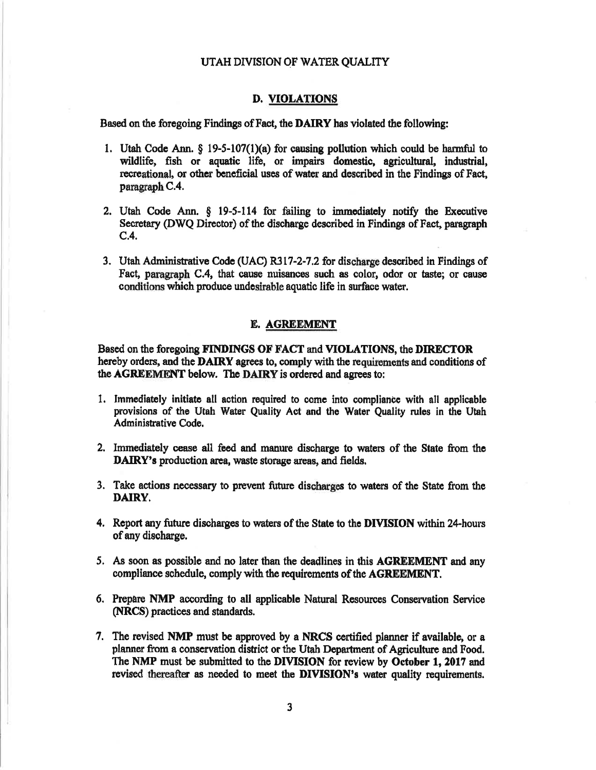#### UTAH DIVISION OF WATER QUALITY

#### **D. VIOLATIONS**

Based on the foregoing Findings of Fact, the DAIRY has violated the following:

- 1. Utah Code Ann.  $\S$  19-5-107(1)(a) for causing pollution which could be harmful to wildlife, fish or aquatic life, or impairs domestic, agricultural, industrial, recreational, or other beneficial uses of water and described in the Findings of Fact, paragraph C.4.
- 2. Utah Code Ann. § 19-5-114 for failing to immediately notify the Executive Secretary (DWQ Director) of the discharge described in Findings of Fact, paragraph  $C.4.$
- 3. Utah Administrative Code (UAC) R317-2-7.2 for discharge described in Findings of Fact, paragraph C.4, that cause muisances such as color, odor or taste; or cause conditions which produce undesirable aquatic life in surface water.

#### E. AGREEMENT

Based on the foregoing FINDINGS OF FACT and VIOLATIONS, the DIRECTOR hereby orders, and the DAIRY agrees to, comply with the requirements and conditions of the AGREEMENT below. The DAIRY is ordered and agrees to:

- 1. Immediately initiate all action required to come into compliance with all applicable provisions of the Utah Water Quality Act and the Water Quality rules in the Utah Administrative Code.
- 2. Immediately cease all feed and manure discharge to waters of the State from the DAIRY's production area, waste storage areas, and fields,
- 3. Take actions necessary to prevent future discharges to waters of the State from the DAIRY.
- 4. Report any future discharges to waters of the State to the DIVISION within 24-hours of any discharge.
- 5. As soon as possible and no later than the deadlines in this AGREEMENT and any compliance schedule, comply with the requirements of the AGREEMENT.
- 6. Prepare NMP according to all applicable Natural Resources Conservation Service (NRCS) practices and standards.
- 7. The revised NMP must be approved by a NRCS certified planner if available, or a planner from a conservation district or the Utah Department of Agriculture and Food. The NMP must be submitted to the DIVISION for review by October 1, 2017 and revised thereafter as needed to meet the DIVISION's water quality requirements.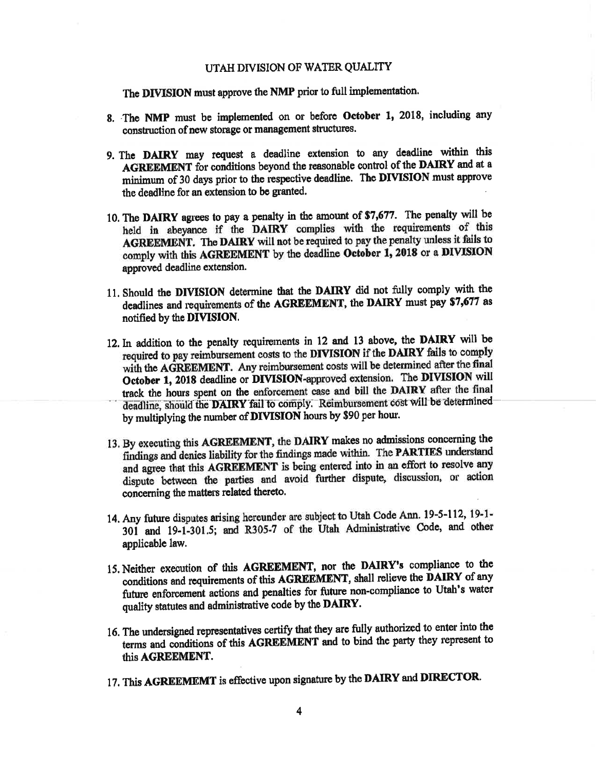#### UTAH DIVISION OF WATER QUALITY

The DIVISION must approve the NMP prior to full implementation.

- 8. The NMP must be implemented on or before October 1, 2018, including any construction of new storage or management structures.
- 9. The DAIRY may request a deadline extension to any deadline within this AGREEMENT for conditions beyond the reasonable control of the DAIRY and at a minimum of 30 days prior to the respective deadline. The DIVISION must approve the deadline for an extension to be granted.
- 10. The DAIRY agrees to pay a penalty in the amount of \$7,677. The penalty will be held in abeyance if the DAIRY complies with the requirements of this AGREEMENT. The DAIRY will not be required to pay the penalty unless it fails to comply with this AGREEMENT by the deadline October 1, 2018 or a DIVISION approved deadline extension.
- 11. Should the DIVISION determine that the DAIRY did not fully comply with the deadlines and requirements of the AGREEMENT, the DAIRY must pay \$7,677 as notified by the DIVISION.
- 12. In addition to the penalty requirements in 12 and 13 above, the DAIRY will be required to pay reimbursement costs to the DIVISION if the DAIRY fails to comply with the AGREEMENT. Any reimbursement costs will be determined after the final October 1, 2018 deadline or DIVISION-approved extension. The DIVISION will track the hours spent on the enforcement case and bill the DAIRY after the final deadline, should the DAIRY fail to comply. Reimbursement cost will be determined by multiplying the number of DIVISION hours by \$90 per hour.
- 13. By executing this AGREEMENT, the DAIRY makes no admissions concerning the findings and denies liability for the findings made within. The PARTIES understand and agree that this AGREEMENT is being entered into in an effort to resolve any dispute between the parties and avoid further dispute, discussion, or action concerning the matters related thereto.
- 14. Any future disputes arising hereunder are subject to Utah Code Ann. 19-5-112, 19-1-301 and 19-1-301.5; and R305-7 of the Utah Administrative Code, and other applicable law.
- 15. Neither execution of this AGREEMENT, nor the DAIRY's compliance to the conditions and requirements of this AGREEMENT, shall relieve the DAIRY of any future enforcement actions and penalties for future non-compliance to Utah's water quality statutes and administrative code by the DAIRY.
- 16. The undersigned representatives certify that they are fully authorized to enter into the terms and conditions of this AGREEMENT and to bind the party they represent to this AGREEMENT.
- 17. This AGREEMEMT is effective upon signature by the DAIRY and DIRECTOR.